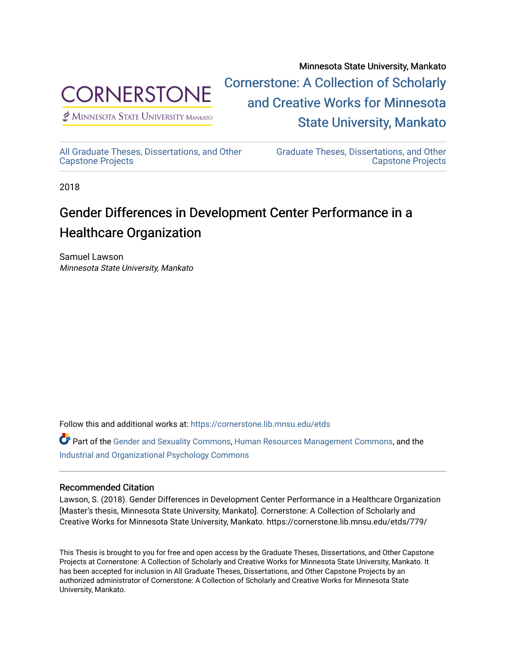

Minnesota State University, Mankato [Cornerstone: A Collection of Scholarly](https://cornerstone.lib.mnsu.edu/)  [and Creative Works for Minnesota](https://cornerstone.lib.mnsu.edu/)  [State University, Mankato](https://cornerstone.lib.mnsu.edu/) 

 $<sup>2</sup>$  Minnesota State University Mankato</sup>

[All Graduate Theses, Dissertations, and Other](https://cornerstone.lib.mnsu.edu/etds)  [Capstone Projects](https://cornerstone.lib.mnsu.edu/etds) 

[Graduate Theses, Dissertations, and Other](https://cornerstone.lib.mnsu.edu/theses_dissertations-capstone)  [Capstone Projects](https://cornerstone.lib.mnsu.edu/theses_dissertations-capstone) 

2018

# Gender Differences in Development Center Performance in a Healthcare Organization

Samuel Lawson Minnesota State University, Mankato

Follow this and additional works at: [https://cornerstone.lib.mnsu.edu/etds](https://cornerstone.lib.mnsu.edu/etds?utm_source=cornerstone.lib.mnsu.edu%2Fetds%2F778&utm_medium=PDF&utm_campaign=PDFCoverPages) 

Part of the [Gender and Sexuality Commons](http://network.bepress.com/hgg/discipline/420?utm_source=cornerstone.lib.mnsu.edu%2Fetds%2F778&utm_medium=PDF&utm_campaign=PDFCoverPages), [Human Resources Management Commons](http://network.bepress.com/hgg/discipline/633?utm_source=cornerstone.lib.mnsu.edu%2Fetds%2F778&utm_medium=PDF&utm_campaign=PDFCoverPages), and the [Industrial and Organizational Psychology Commons](http://network.bepress.com/hgg/discipline/412?utm_source=cornerstone.lib.mnsu.edu%2Fetds%2F778&utm_medium=PDF&utm_campaign=PDFCoverPages)

#### Recommended Citation

Lawson, S. (2018). Gender Differences in Development Center Performance in a Healthcare Organization [Master's thesis, Minnesota State University, Mankato]. Cornerstone: A Collection of Scholarly and Creative Works for Minnesota State University, Mankato. https://cornerstone.lib.mnsu.edu/etds/779/

This Thesis is brought to you for free and open access by the Graduate Theses, Dissertations, and Other Capstone Projects at Cornerstone: A Collection of Scholarly and Creative Works for Minnesota State University, Mankato. It has been accepted for inclusion in All Graduate Theses, Dissertations, and Other Capstone Projects by an authorized administrator of Cornerstone: A Collection of Scholarly and Creative Works for Minnesota State University, Mankato.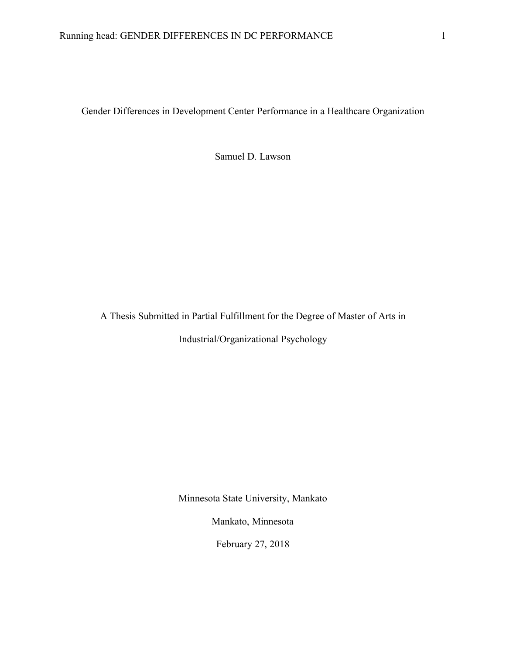Gender Differences in Development Center Performance in a Healthcare Organization

Samuel D. Lawson

A Thesis Submitted in Partial Fulfillment for the Degree of Master of Arts in Industrial/Organizational Psychology

Minnesota State University, Mankato

Mankato, Minnesota

February 27, 2018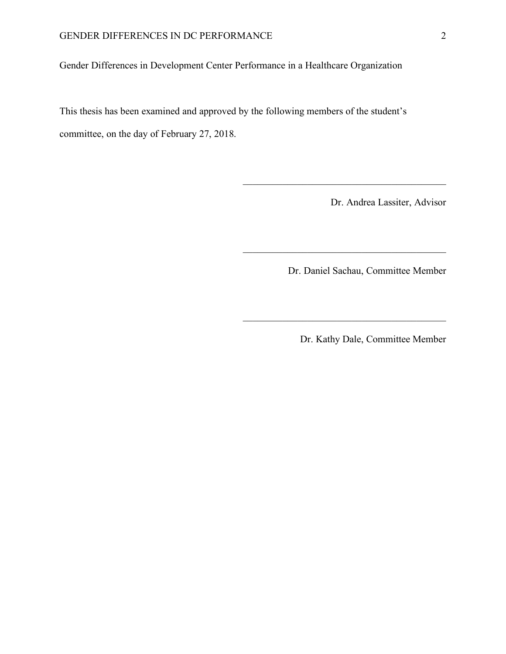Gender Differences in Development Center Performance in a Healthcare Organization

This thesis has been examined and approved by the following members of the student's committee, on the day of February 27, 2018.

Dr. Andrea Lassiter, Advisor

Dr. Daniel Sachau, Committee Member

 $\mathcal{L}_\text{max}$  , and the contract of the contract of the contract of the contract of the contract of the contract of the contract of the contract of the contract of the contract of the contract of the contract of the contr

 $\mathcal{L}_\text{max}$  , and the contract of the contract of the contract of the contract of the contract of the contract of the contract of the contract of the contract of the contract of the contract of the contract of the contr

 $\mathcal{L}_\text{max}$ 

Dr. Kathy Dale, Committee Member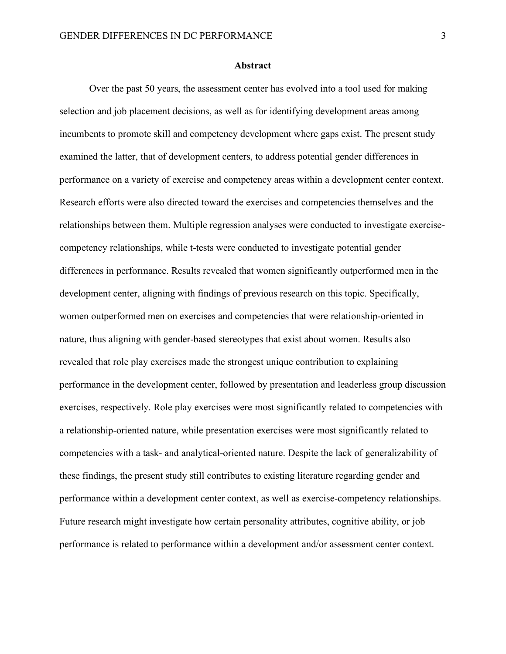#### **Abstract**

Over the past 50 years, the assessment center has evolved into a tool used for making selection and job placement decisions, as well as for identifying development areas among incumbents to promote skill and competency development where gaps exist. The present study examined the latter, that of development centers, to address potential gender differences in performance on a variety of exercise and competency areas within a development center context. Research efforts were also directed toward the exercises and competencies themselves and the relationships between them. Multiple regression analyses were conducted to investigate exercisecompetency relationships, while t-tests were conducted to investigate potential gender differences in performance. Results revealed that women significantly outperformed men in the development center, aligning with findings of previous research on this topic. Specifically, women outperformed men on exercises and competencies that were relationship-oriented in nature, thus aligning with gender-based stereotypes that exist about women. Results also revealed that role play exercises made the strongest unique contribution to explaining performance in the development center, followed by presentation and leaderless group discussion exercises, respectively. Role play exercises were most significantly related to competencies with a relationship-oriented nature, while presentation exercises were most significantly related to competencies with a task- and analytical-oriented nature. Despite the lack of generalizability of these findings, the present study still contributes to existing literature regarding gender and performance within a development center context, as well as exercise-competency relationships. Future research might investigate how certain personality attributes, cognitive ability, or job performance is related to performance within a development and/or assessment center context.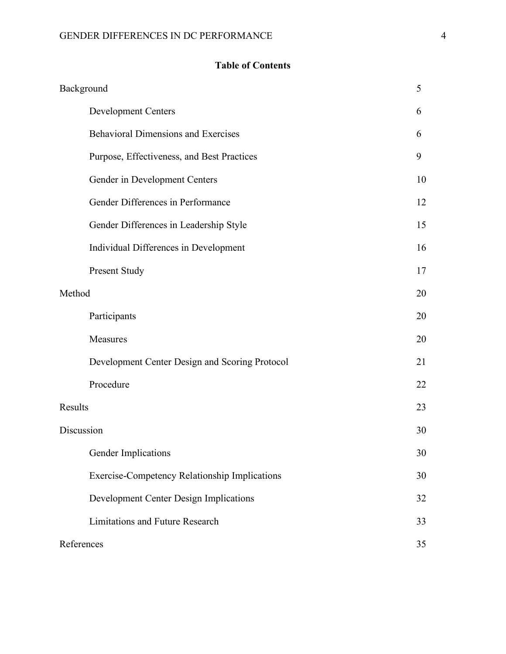# **Table of Contents**

| Background                                           | 5  |
|------------------------------------------------------|----|
| <b>Development Centers</b>                           | 6  |
| <b>Behavioral Dimensions and Exercises</b>           | 6  |
| Purpose, Effectiveness, and Best Practices           | 9  |
| Gender in Development Centers                        | 10 |
| Gender Differences in Performance                    | 12 |
| Gender Differences in Leadership Style               | 15 |
| Individual Differences in Development                | 16 |
| Present Study                                        | 17 |
| Method                                               | 20 |
| Participants                                         | 20 |
| Measures                                             | 20 |
| Development Center Design and Scoring Protocol       | 21 |
| Procedure                                            | 22 |
| Results                                              | 23 |
| Discussion                                           | 30 |
| Gender Implications                                  | 30 |
| <b>Exercise-Competency Relationship Implications</b> | 30 |
| Development Center Design Implications               | 32 |
| Limitations and Future Research                      | 33 |
| References                                           | 35 |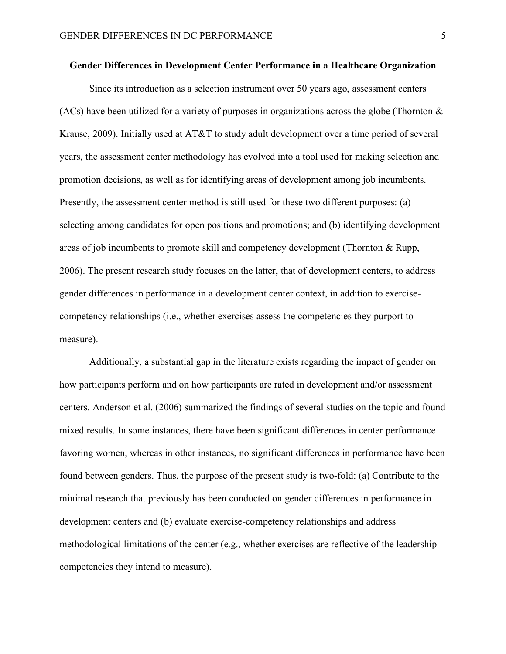#### **Gender Differences in Development Center Performance in a Healthcare Organization**

Since its introduction as a selection instrument over 50 years ago, assessment centers (ACs) have been utilized for a variety of purposes in organizations across the globe (Thornton  $\&$ Krause, 2009). Initially used at AT&T to study adult development over a time period of several years, the assessment center methodology has evolved into a tool used for making selection and promotion decisions, as well as for identifying areas of development among job incumbents. Presently, the assessment center method is still used for these two different purposes: (a) selecting among candidates for open positions and promotions; and (b) identifying development areas of job incumbents to promote skill and competency development (Thornton & Rupp, 2006). The present research study focuses on the latter, that of development centers, to address gender differences in performance in a development center context, in addition to exercisecompetency relationships (i.e., whether exercises assess the competencies they purport to measure).

Additionally, a substantial gap in the literature exists regarding the impact of gender on how participants perform and on how participants are rated in development and/or assessment centers. Anderson et al. (2006) summarized the findings of several studies on the topic and found mixed results. In some instances, there have been significant differences in center performance favoring women, whereas in other instances, no significant differences in performance have been found between genders. Thus, the purpose of the present study is two-fold: (a) Contribute to the minimal research that previously has been conducted on gender differences in performance in development centers and (b) evaluate exercise-competency relationships and address methodological limitations of the center (e.g., whether exercises are reflective of the leadership competencies they intend to measure).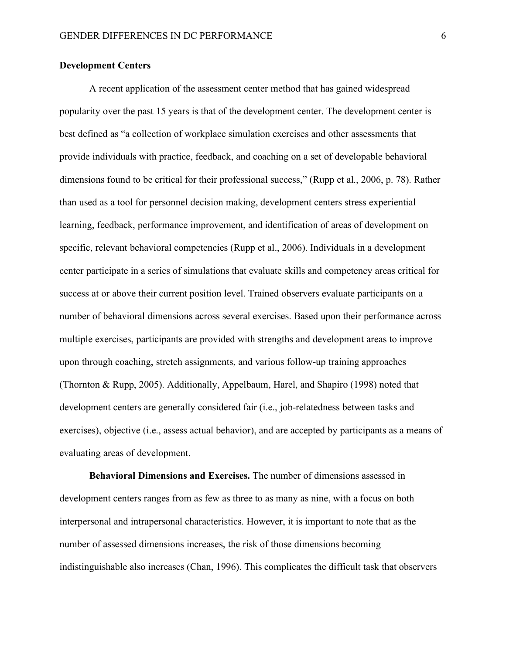# **Development Centers**

A recent application of the assessment center method that has gained widespread popularity over the past 15 years is that of the development center. The development center is best defined as "a collection of workplace simulation exercises and other assessments that provide individuals with practice, feedback, and coaching on a set of developable behavioral dimensions found to be critical for their professional success," (Rupp et al., 2006, p. 78). Rather than used as a tool for personnel decision making, development centers stress experiential learning, feedback, performance improvement, and identification of areas of development on specific, relevant behavioral competencies (Rupp et al., 2006). Individuals in a development center participate in a series of simulations that evaluate skills and competency areas critical for success at or above their current position level. Trained observers evaluate participants on a number of behavioral dimensions across several exercises. Based upon their performance across multiple exercises, participants are provided with strengths and development areas to improve upon through coaching, stretch assignments, and various follow-up training approaches (Thornton & Rupp, 2005). Additionally, Appelbaum, Harel, and Shapiro (1998) noted that development centers are generally considered fair (i.e., job-relatedness between tasks and exercises), objective (i.e., assess actual behavior), and are accepted by participants as a means of evaluating areas of development.

**Behavioral Dimensions and Exercises.** The number of dimensions assessed in development centers ranges from as few as three to as many as nine, with a focus on both interpersonal and intrapersonal characteristics. However, it is important to note that as the number of assessed dimensions increases, the risk of those dimensions becoming indistinguishable also increases (Chan, 1996). This complicates the difficult task that observers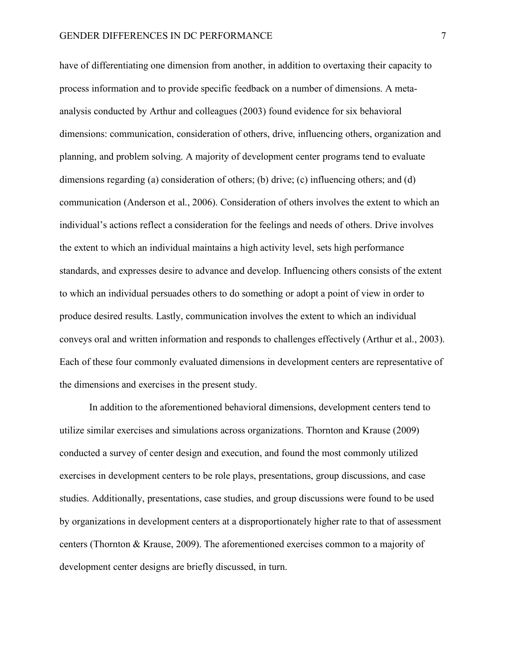have of differentiating one dimension from another, in addition to overtaxing their capacity to process information and to provide specific feedback on a number of dimensions. A metaanalysis conducted by Arthur and colleagues (2003) found evidence for six behavioral dimensions: communication, consideration of others, drive, influencing others, organization and planning, and problem solving. A majority of development center programs tend to evaluate dimensions regarding (a) consideration of others; (b) drive; (c) influencing others; and (d) communication (Anderson et al., 2006). Consideration of others involves the extent to which an individual's actions reflect a consideration for the feelings and needs of others. Drive involves the extent to which an individual maintains a high activity level, sets high performance standards, and expresses desire to advance and develop. Influencing others consists of the extent to which an individual persuades others to do something or adopt a point of view in order to produce desired results. Lastly, communication involves the extent to which an individual conveys oral and written information and responds to challenges effectively (Arthur et al., 2003). Each of these four commonly evaluated dimensions in development centers are representative of the dimensions and exercises in the present study.

In addition to the aforementioned behavioral dimensions, development centers tend to utilize similar exercises and simulations across organizations. Thornton and Krause (2009) conducted a survey of center design and execution, and found the most commonly utilized exercises in development centers to be role plays, presentations, group discussions, and case studies. Additionally, presentations, case studies, and group discussions were found to be used by organizations in development centers at a disproportionately higher rate to that of assessment centers (Thornton & Krause, 2009). The aforementioned exercises common to a majority of development center designs are briefly discussed, in turn.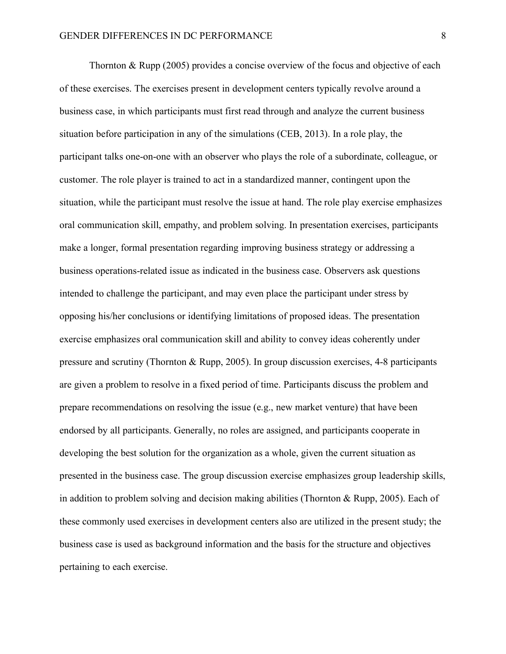Thornton & Rupp (2005) provides a concise overview of the focus and objective of each of these exercises. The exercises present in development centers typically revolve around a business case, in which participants must first read through and analyze the current business situation before participation in any of the simulations (CEB, 2013). In a role play, the participant talks one-on-one with an observer who plays the role of a subordinate, colleague, or customer. The role player is trained to act in a standardized manner, contingent upon the situation, while the participant must resolve the issue at hand. The role play exercise emphasizes oral communication skill, empathy, and problem solving. In presentation exercises, participants make a longer, formal presentation regarding improving business strategy or addressing a business operations-related issue as indicated in the business case. Observers ask questions intended to challenge the participant, and may even place the participant under stress by opposing his/her conclusions or identifying limitations of proposed ideas. The presentation exercise emphasizes oral communication skill and ability to convey ideas coherently under pressure and scrutiny (Thornton & Rupp, 2005). In group discussion exercises, 4-8 participants are given a problem to resolve in a fixed period of time. Participants discuss the problem and prepare recommendations on resolving the issue (e.g., new market venture) that have been endorsed by all participants. Generally, no roles are assigned, and participants cooperate in developing the best solution for the organization as a whole, given the current situation as presented in the business case. The group discussion exercise emphasizes group leadership skills, in addition to problem solving and decision making abilities (Thornton & Rupp, 2005). Each of these commonly used exercises in development centers also are utilized in the present study; the business case is used as background information and the basis for the structure and objectives pertaining to each exercise.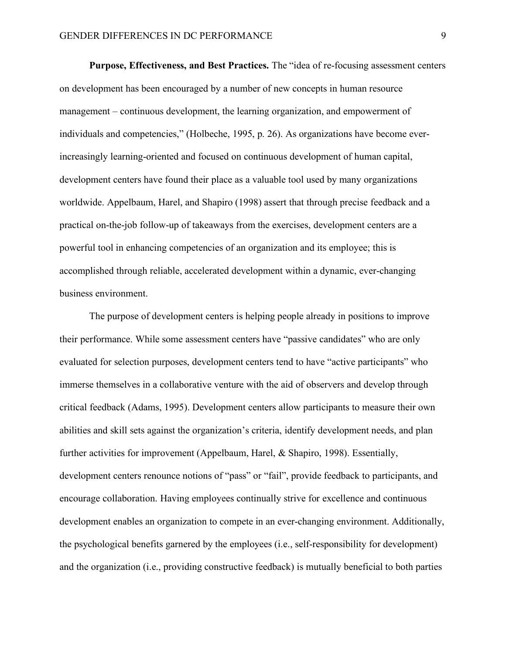**Purpose, Effectiveness, and Best Practices.** The "idea of re-focusing assessment centers on development has been encouraged by a number of new concepts in human resource management – continuous development, the learning organization, and empowerment of individuals and competencies," (Holbeche, 1995, p. 26). As organizations have become everincreasingly learning-oriented and focused on continuous development of human capital, development centers have found their place as a valuable tool used by many organizations worldwide. Appelbaum, Harel, and Shapiro (1998) assert that through precise feedback and a practical on-the-job follow-up of takeaways from the exercises, development centers are a powerful tool in enhancing competencies of an organization and its employee; this is accomplished through reliable, accelerated development within a dynamic, ever-changing business environment.

The purpose of development centers is helping people already in positions to improve their performance. While some assessment centers have "passive candidates" who are only evaluated for selection purposes, development centers tend to have "active participants" who immerse themselves in a collaborative venture with the aid of observers and develop through critical feedback (Adams, 1995). Development centers allow participants to measure their own abilities and skill sets against the organization's criteria, identify development needs, and plan further activities for improvement (Appelbaum, Harel, & Shapiro, 1998). Essentially, development centers renounce notions of "pass" or "fail", provide feedback to participants, and encourage collaboration. Having employees continually strive for excellence and continuous development enables an organization to compete in an ever-changing environment. Additionally, the psychological benefits garnered by the employees (i.e., self-responsibility for development) and the organization (i.e., providing constructive feedback) is mutually beneficial to both parties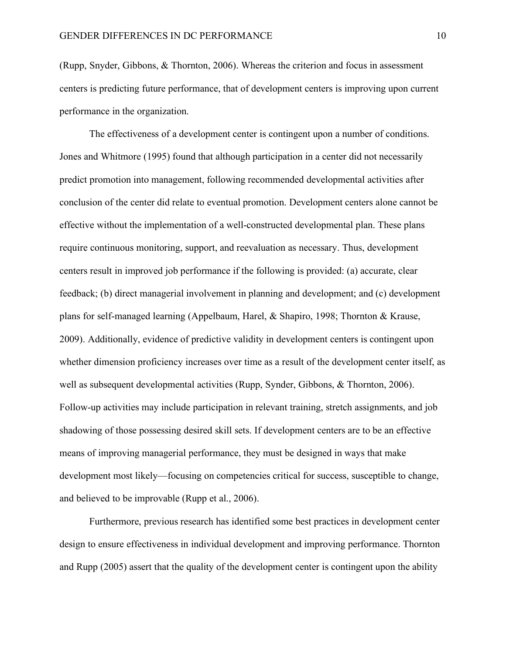(Rupp, Snyder, Gibbons, & Thornton, 2006). Whereas the criterion and focus in assessment centers is predicting future performance, that of development centers is improving upon current performance in the organization.

The effectiveness of a development center is contingent upon a number of conditions. Jones and Whitmore (1995) found that although participation in a center did not necessarily predict promotion into management, following recommended developmental activities after conclusion of the center did relate to eventual promotion. Development centers alone cannot be effective without the implementation of a well-constructed developmental plan. These plans require continuous monitoring, support, and reevaluation as necessary. Thus, development centers result in improved job performance if the following is provided: (a) accurate, clear feedback; (b) direct managerial involvement in planning and development; and (c) development plans for self-managed learning (Appelbaum, Harel, & Shapiro, 1998; Thornton & Krause, 2009). Additionally, evidence of predictive validity in development centers is contingent upon whether dimension proficiency increases over time as a result of the development center itself, as well as subsequent developmental activities (Rupp, Synder, Gibbons, & Thornton, 2006). Follow-up activities may include participation in relevant training, stretch assignments, and job shadowing of those possessing desired skill sets. If development centers are to be an effective means of improving managerial performance, they must be designed in ways that make development most likely—focusing on competencies critical for success, susceptible to change, and believed to be improvable (Rupp et al., 2006).

Furthermore, previous research has identified some best practices in development center design to ensure effectiveness in individual development and improving performance. Thornton and Rupp (2005) assert that the quality of the development center is contingent upon the ability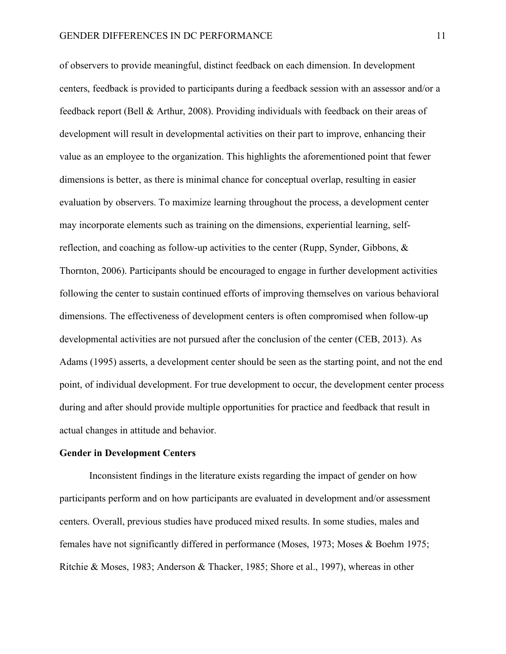of observers to provide meaningful, distinct feedback on each dimension. In development centers, feedback is provided to participants during a feedback session with an assessor and/or a feedback report (Bell & Arthur, 2008). Providing individuals with feedback on their areas of development will result in developmental activities on their part to improve, enhancing their value as an employee to the organization. This highlights the aforementioned point that fewer dimensions is better, as there is minimal chance for conceptual overlap, resulting in easier evaluation by observers. To maximize learning throughout the process, a development center may incorporate elements such as training on the dimensions, experiential learning, selfreflection, and coaching as follow-up activities to the center (Rupp, Synder, Gibbons, & Thornton, 2006). Participants should be encouraged to engage in further development activities following the center to sustain continued efforts of improving themselves on various behavioral dimensions. The effectiveness of development centers is often compromised when follow-up developmental activities are not pursued after the conclusion of the center (CEB, 2013). As Adams (1995) asserts, a development center should be seen as the starting point, and not the end point, of individual development. For true development to occur, the development center process during and after should provide multiple opportunities for practice and feedback that result in actual changes in attitude and behavior.

#### **Gender in Development Centers**

Inconsistent findings in the literature exists regarding the impact of gender on how participants perform and on how participants are evaluated in development and/or assessment centers. Overall, previous studies have produced mixed results. In some studies, males and females have not significantly differed in performance (Moses, 1973; Moses & Boehm 1975; Ritchie & Moses, 1983; Anderson & Thacker, 1985; Shore et al., 1997), whereas in other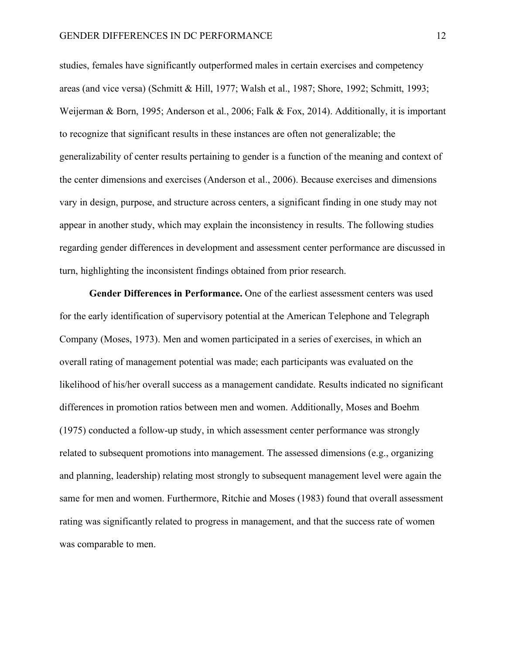studies, females have significantly outperformed males in certain exercises and competency areas (and vice versa) (Schmitt & Hill, 1977; Walsh et al., 1987; Shore, 1992; Schmitt, 1993; Weijerman & Born, 1995; Anderson et al., 2006; Falk & Fox, 2014). Additionally, it is important to recognize that significant results in these instances are often not generalizable; the generalizability of center results pertaining to gender is a function of the meaning and context of the center dimensions and exercises (Anderson et al., 2006). Because exercises and dimensions vary in design, purpose, and structure across centers, a significant finding in one study may not appear in another study, which may explain the inconsistency in results. The following studies regarding gender differences in development and assessment center performance are discussed in turn, highlighting the inconsistent findings obtained from prior research.

**Gender Differences in Performance.** One of the earliest assessment centers was used for the early identification of supervisory potential at the American Telephone and Telegraph Company (Moses, 1973). Men and women participated in a series of exercises, in which an overall rating of management potential was made; each participants was evaluated on the likelihood of his/her overall success as a management candidate. Results indicated no significant differences in promotion ratios between men and women. Additionally, Moses and Boehm (1975) conducted a follow-up study, in which assessment center performance was strongly related to subsequent promotions into management. The assessed dimensions (e.g., organizing and planning, leadership) relating most strongly to subsequent management level were again the same for men and women. Furthermore, Ritchie and Moses (1983) found that overall assessment rating was significantly related to progress in management, and that the success rate of women was comparable to men.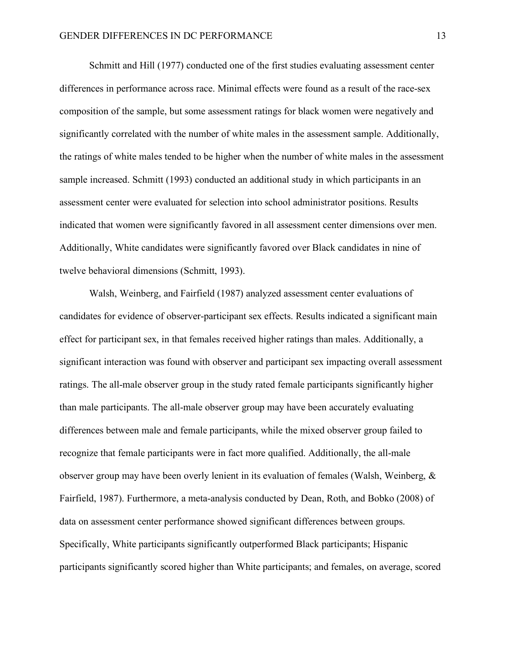Schmitt and Hill (1977) conducted one of the first studies evaluating assessment center differences in performance across race. Minimal effects were found as a result of the race-sex composition of the sample, but some assessment ratings for black women were negatively and significantly correlated with the number of white males in the assessment sample. Additionally, the ratings of white males tended to be higher when the number of white males in the assessment sample increased. Schmitt (1993) conducted an additional study in which participants in an assessment center were evaluated for selection into school administrator positions. Results indicated that women were significantly favored in all assessment center dimensions over men. Additionally, White candidates were significantly favored over Black candidates in nine of twelve behavioral dimensions (Schmitt, 1993).

Walsh, Weinberg, and Fairfield (1987) analyzed assessment center evaluations of candidates for evidence of observer-participant sex effects. Results indicated a significant main effect for participant sex, in that females received higher ratings than males. Additionally, a significant interaction was found with observer and participant sex impacting overall assessment ratings. The all-male observer group in the study rated female participants significantly higher than male participants. The all-male observer group may have been accurately evaluating differences between male and female participants, while the mixed observer group failed to recognize that female participants were in fact more qualified. Additionally, the all-male observer group may have been overly lenient in its evaluation of females (Walsh, Weinberg, & Fairfield, 1987). Furthermore, a meta-analysis conducted by Dean, Roth, and Bobko (2008) of data on assessment center performance showed significant differences between groups. Specifically, White participants significantly outperformed Black participants; Hispanic participants significantly scored higher than White participants; and females, on average, scored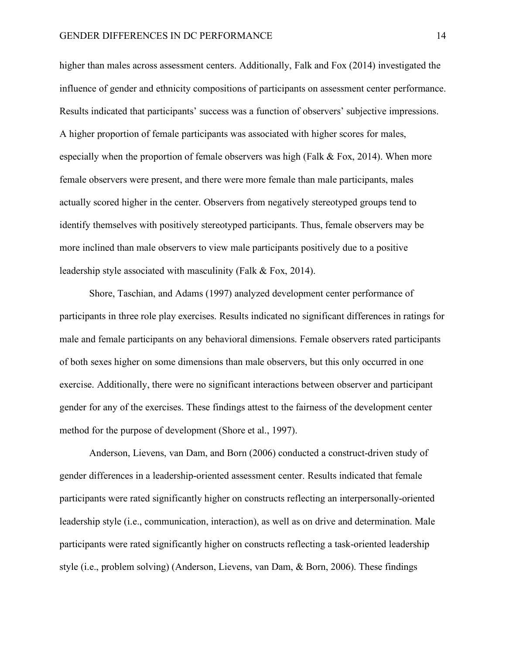higher than males across assessment centers. Additionally, Falk and Fox (2014) investigated the influence of gender and ethnicity compositions of participants on assessment center performance. Results indicated that participants' success was a function of observers' subjective impressions. A higher proportion of female participants was associated with higher scores for males, especially when the proportion of female observers was high (Falk & Fox, 2014). When more female observers were present, and there were more female than male participants, males actually scored higher in the center. Observers from negatively stereotyped groups tend to identify themselves with positively stereotyped participants. Thus, female observers may be more inclined than male observers to view male participants positively due to a positive leadership style associated with masculinity (Falk & Fox, 2014).

Shore, Taschian, and Adams (1997) analyzed development center performance of participants in three role play exercises. Results indicated no significant differences in ratings for male and female participants on any behavioral dimensions. Female observers rated participants of both sexes higher on some dimensions than male observers, but this only occurred in one exercise. Additionally, there were no significant interactions between observer and participant gender for any of the exercises. These findings attest to the fairness of the development center method for the purpose of development (Shore et al., 1997).

Anderson, Lievens, van Dam, and Born (2006) conducted a construct-driven study of gender differences in a leadership-oriented assessment center. Results indicated that female participants were rated significantly higher on constructs reflecting an interpersonally-oriented leadership style (i.e., communication, interaction), as well as on drive and determination. Male participants were rated significantly higher on constructs reflecting a task-oriented leadership style (i.e., problem solving) (Anderson, Lievens, van Dam, & Born, 2006). These findings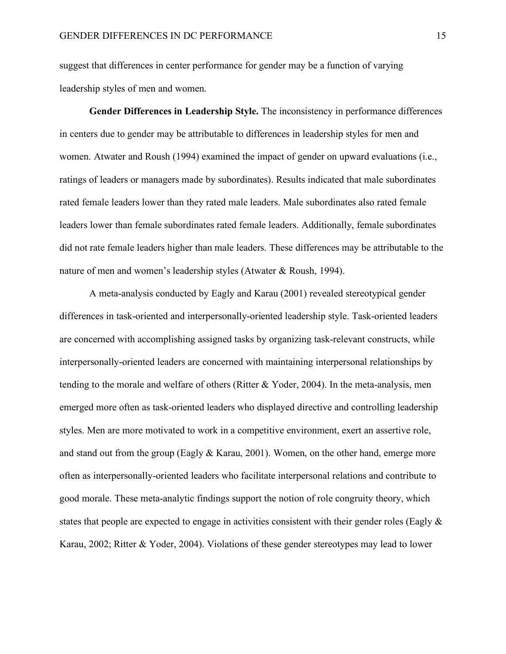suggest that differences in center performance for gender may be a function of varying leadership styles of men and women.

**Gender Differences in Leadership Style.** The inconsistency in performance differences in centers due to gender may be attributable to differences in leadership styles for men and women. Atwater and Roush (1994) examined the impact of gender on upward evaluations (i.e., ratings of leaders or managers made by subordinates). Results indicated that male subordinates rated female leaders lower than they rated male leaders. Male subordinates also rated female leaders lower than female subordinates rated female leaders. Additionally, female subordinates did not rate female leaders higher than male leaders. These differences may be attributable to the nature of men and women's leadership styles (Atwater & Roush, 1994).

A meta-analysis conducted by Eagly and Karau (2001) revealed stereotypical gender differences in task-oriented and interpersonally-oriented leadership style. Task-oriented leaders are concerned with accomplishing assigned tasks by organizing task-relevant constructs, while interpersonally-oriented leaders are concerned with maintaining interpersonal relationships by tending to the morale and welfare of others (Ritter & Yoder, 2004). In the meta-analysis, men emerged more often as task-oriented leaders who displayed directive and controlling leadership styles. Men are more motivated to work in a competitive environment, exert an assertive role, and stand out from the group (Eagly & Karau, 2001). Women, on the other hand, emerge more often as interpersonally-oriented leaders who facilitate interpersonal relations and contribute to good morale. These meta-analytic findings support the notion of role congruity theory, which states that people are expected to engage in activities consistent with their gender roles (Eagly & Karau, 2002; Ritter & Yoder, 2004). Violations of these gender stereotypes may lead to lower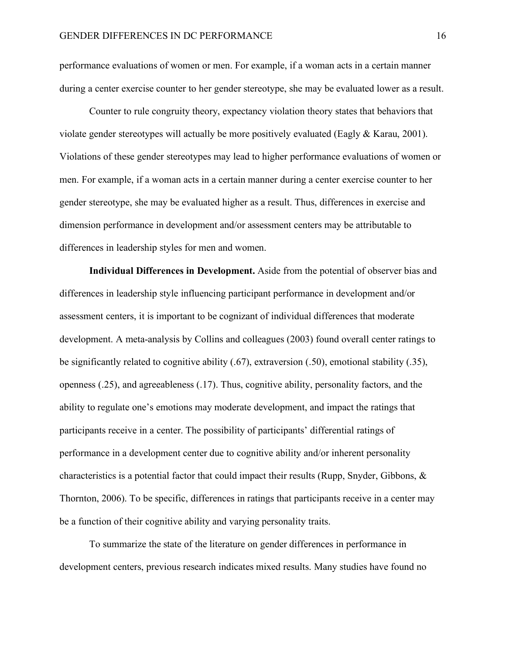performance evaluations of women or men. For example, if a woman acts in a certain manner during a center exercise counter to her gender stereotype, she may be evaluated lower as a result.

Counter to rule congruity theory, expectancy violation theory states that behaviors that violate gender stereotypes will actually be more positively evaluated (Eagly & Karau, 2001). Violations of these gender stereotypes may lead to higher performance evaluations of women or men. For example, if a woman acts in a certain manner during a center exercise counter to her gender stereotype, she may be evaluated higher as a result. Thus, differences in exercise and dimension performance in development and/or assessment centers may be attributable to differences in leadership styles for men and women.

**Individual Differences in Development.** Aside from the potential of observer bias and differences in leadership style influencing participant performance in development and/or assessment centers, it is important to be cognizant of individual differences that moderate development. A meta-analysis by Collins and colleagues (2003) found overall center ratings to be significantly related to cognitive ability (.67), extraversion (.50), emotional stability (.35), openness (.25), and agreeableness (.17). Thus, cognitive ability, personality factors, and the ability to regulate one's emotions may moderate development, and impact the ratings that participants receive in a center. The possibility of participants' differential ratings of performance in a development center due to cognitive ability and/or inherent personality characteristics is a potential factor that could impact their results (Rupp, Snyder, Gibbons, & Thornton, 2006). To be specific, differences in ratings that participants receive in a center may be a function of their cognitive ability and varying personality traits.

To summarize the state of the literature on gender differences in performance in development centers, previous research indicates mixed results. Many studies have found no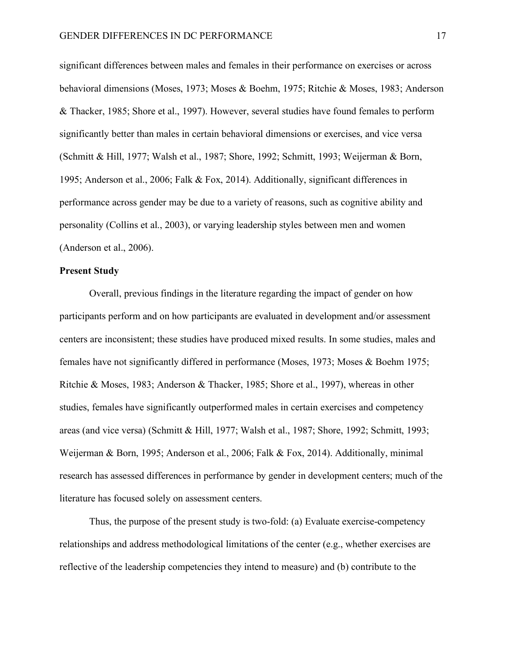significant differences between males and females in their performance on exercises or across behavioral dimensions (Moses, 1973; Moses & Boehm, 1975; Ritchie & Moses, 1983; Anderson & Thacker, 1985; Shore et al., 1997). However, several studies have found females to perform significantly better than males in certain behavioral dimensions or exercises, and vice versa (Schmitt & Hill, 1977; Walsh et al., 1987; Shore, 1992; Schmitt, 1993; Weijerman & Born, 1995; Anderson et al., 2006; Falk & Fox, 2014). Additionally, significant differences in performance across gender may be due to a variety of reasons, such as cognitive ability and personality (Collins et al., 2003), or varying leadership styles between men and women (Anderson et al., 2006).

#### **Present Study**

Overall, previous findings in the literature regarding the impact of gender on how participants perform and on how participants are evaluated in development and/or assessment centers are inconsistent; these studies have produced mixed results. In some studies, males and females have not significantly differed in performance (Moses, 1973; Moses & Boehm 1975; Ritchie & Moses, 1983; Anderson & Thacker, 1985; Shore et al., 1997), whereas in other studies, females have significantly outperformed males in certain exercises and competency areas (and vice versa) (Schmitt & Hill, 1977; Walsh et al., 1987; Shore, 1992; Schmitt, 1993; Weijerman & Born, 1995; Anderson et al., 2006; Falk & Fox, 2014). Additionally, minimal research has assessed differences in performance by gender in development centers; much of the literature has focused solely on assessment centers.

Thus, the purpose of the present study is two-fold: (a) Evaluate exercise-competency relationships and address methodological limitations of the center (e.g., whether exercises are reflective of the leadership competencies they intend to measure) and (b) contribute to the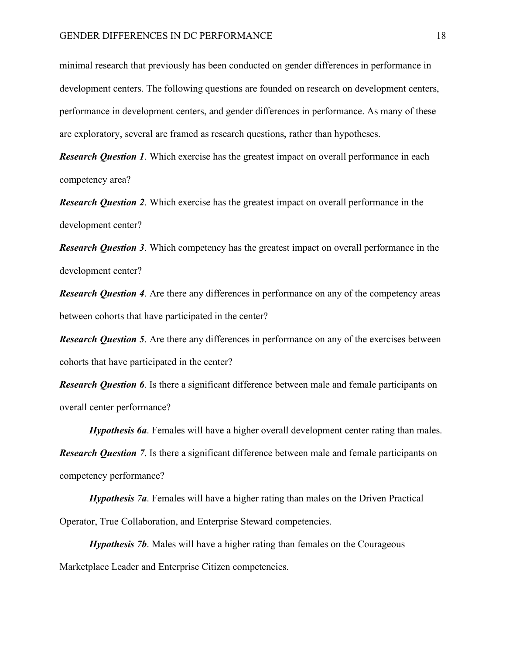minimal research that previously has been conducted on gender differences in performance in development centers. The following questions are founded on research on development centers, performance in development centers, and gender differences in performance. As many of these are exploratory, several are framed as research questions, rather than hypotheses.

*Research Question 1*. Which exercise has the greatest impact on overall performance in each competency area?

*Research Question 2*. Which exercise has the greatest impact on overall performance in the development center?

*Research Question 3*. Which competency has the greatest impact on overall performance in the development center?

*Research Question 4.* Are there any differences in performance on any of the competency areas between cohorts that have participated in the center?

*Research Question 5.* Are there any differences in performance on any of the exercises between cohorts that have participated in the center?

*Research Question 6*. Is there a significant difference between male and female participants on overall center performance?

*Hypothesis 6a*. Females will have a higher overall development center rating than males. *Research Question 7.* Is there a significant difference between male and female participants on competency performance?

*Hypothesis 7a*. Females will have a higher rating than males on the Driven Practical Operator, True Collaboration, and Enterprise Steward competencies.

*Hypothesis 7b*. Males will have a higher rating than females on the Courageous Marketplace Leader and Enterprise Citizen competencies.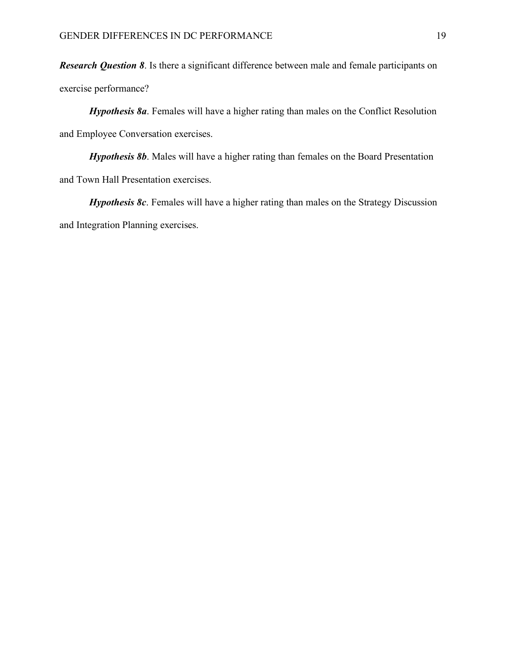*Research Question 8*. Is there a significant difference between male and female participants on exercise performance?

*Hypothesis 8a*. Females will have a higher rating than males on the Conflict Resolution and Employee Conversation exercises.

*Hypothesis 8b.* Males will have a higher rating than females on the Board Presentation and Town Hall Presentation exercises.

*Hypothesis 8c.* Females will have a higher rating than males on the Strategy Discussion and Integration Planning exercises.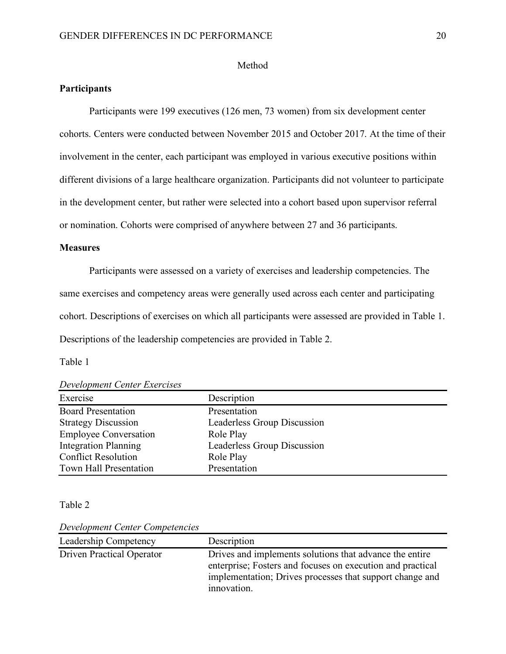#### Method

# **Participants**

Participants were 199 executives (126 men, 73 women) from six development center cohorts. Centers were conducted between November 2015 and October 2017. At the time of their involvement in the center, each participant was employed in various executive positions within different divisions of a large healthcare organization. Participants did not volunteer to participate in the development center, but rather were selected into a cohort based upon supervisor referral or nomination. Cohorts were comprised of anywhere between 27 and 36 participants.

#### **Measures**

Participants were assessed on a variety of exercises and leadership competencies. The same exercises and competency areas were generally used across each center and participating cohort. Descriptions of exercises on which all participants were assessed are provided in Table 1. Descriptions of the leadership competencies are provided in Table 2.

Table 1

| <b>Development Center Exercises</b> |                             |  |  |  |
|-------------------------------------|-----------------------------|--|--|--|
| Exercise                            | Description                 |  |  |  |
| <b>Board Presentation</b>           | Presentation                |  |  |  |
| <b>Strategy Discussion</b>          | Leaderless Group Discussion |  |  |  |
| <b>Employee Conversation</b>        | Role Play                   |  |  |  |
| <b>Integration Planning</b>         | Leaderless Group Discussion |  |  |  |

Table 2

*Development Center Competencies*

Conflict Resolution Role Play Town Hall Presentation Presentation

| Leadership Competency            | Description                                                                                                                                                                                      |
|----------------------------------|--------------------------------------------------------------------------------------------------------------------------------------------------------------------------------------------------|
| <b>Driven Practical Operator</b> | Drives and implements solutions that advance the entire<br>enterprise; Fosters and focuses on execution and practical<br>implementation; Drives processes that support change and<br>innovation. |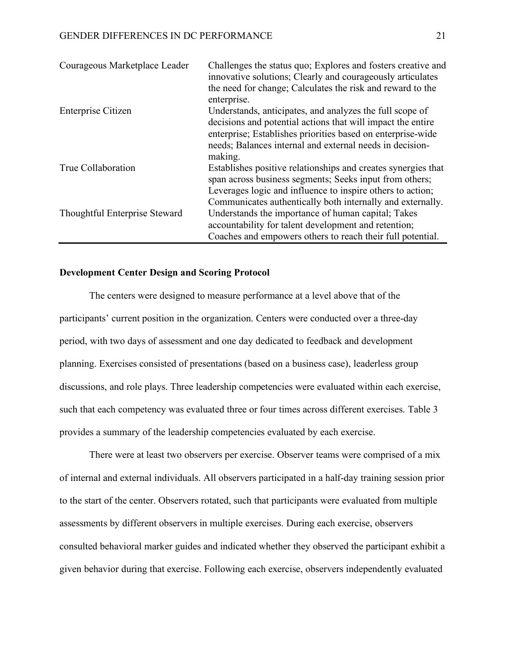| Courageous Marketplace Leader | Challenges the status quo; Explores and fosters creative and<br>innovative solutions; Clearly and courageously articulates                                                                                                                         |
|-------------------------------|----------------------------------------------------------------------------------------------------------------------------------------------------------------------------------------------------------------------------------------------------|
|                               | the need for change; Calculates the risk and reward to the<br>enterprise.                                                                                                                                                                          |
| Enterprise Citizen            | Understands, anticipates, and analyzes the full scope of<br>decisions and potential actions that will impact the entire<br>enterprise; Establishes priorities based on enterprise-wide<br>needs; Balances internal and external needs in decision- |
| True Collaboration            | making.<br>Establishes positive relationships and creates synergies that<br>span across business segments; Seeks input from others;                                                                                                                |
|                               | Leverages logic and influence to inspire others to action;<br>Communicates authentically both internally and externally.                                                                                                                           |
| Thoughtful Enterprise Steward | Understands the importance of human capital; Takes<br>accountability for talent development and retention;<br>Coaches and empowers others to reach their full potential.                                                                           |

# **Development Center Design and Scoring Protocol**

The centers were designed to measure performance at a level above that of the participants' current position in the organization. Centers were conducted over a three-day period, with two days of assessment and one day dedicated to feedback and development planning. Exercises consisted of presentations (based on a business case), leaderless group discussions, and role plays. Three leadership competencies were evaluated within each exercise, such that each competency was evaluated three or four times across different exercises. Table 3 provides a summary of the leadership competencies evaluated by each exercise.

There were at least two observers per exercise. Observer teams were comprised of a mix of internal and external individuals. All observers participated in a half-day training session prior to the start of the center. Observers rotated, such that participants were evaluated from multiple assessments by different observers in multiple exercises. During each exercise, observers consulted behavioral marker guides and indicated whether they observed the participant exhibit a given behavior during that exercise. Following each exercise, observers independently evaluated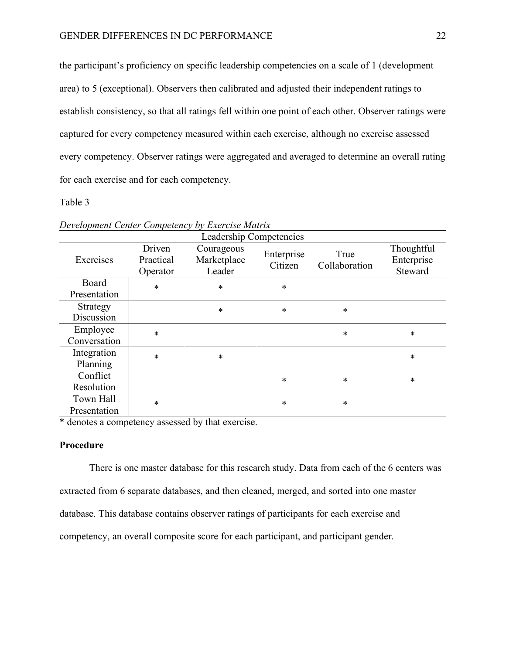the participant's proficiency on specific leadership competencies on a scale of 1 (development area) to 5 (exceptional). Observers then calibrated and adjusted their independent ratings to establish consistency, so that all ratings fell within one point of each other. Observer ratings were captured for every competency measured within each exercise, although no exercise assessed every competency. Observer ratings were aggregated and averaged to determine an overall rating for each exercise and for each competency.

### Table 3

| $\epsilon$ , $\epsilon$ , $\epsilon$ , $\epsilon$ , $\epsilon$ , $\epsilon$ , $\epsilon$ , $\epsilon$ , $\epsilon$ , $\epsilon$ , $\epsilon$ , $\epsilon$ , $\epsilon$ , $\epsilon$ , $\epsilon$ , $\epsilon$ , $\epsilon$ , $\epsilon$ , $\epsilon$ , $\epsilon$ , $\epsilon$ , $\epsilon$ , $\epsilon$ , $\epsilon$ , $\epsilon$ , $\epsilon$ , $\epsilon$ , $\epsilon$ , $\epsilon$ , $\epsilon$ , $\epsilon$ , $\epsilon$ , $\epsilon$ , $\epsilon$ , $\epsilon$ , $\epsilon$ , $\epsilon$ , |                                 |                                     |                       |                       |                                     |
|--------------------------------------------------------------------------------------------------------------------------------------------------------------------------------------------------------------------------------------------------------------------------------------------------------------------------------------------------------------------------------------------------------------------------------------------------------------------------------------------------|---------------------------------|-------------------------------------|-----------------------|-----------------------|-------------------------------------|
|                                                                                                                                                                                                                                                                                                                                                                                                                                                                                                  | Leadership Competencies         |                                     |                       |                       |                                     |
| Exercises                                                                                                                                                                                                                                                                                                                                                                                                                                                                                        | Driven<br>Practical<br>Operator | Courageous<br>Marketplace<br>Leader | Enterprise<br>Citizen | True<br>Collaboration | Thoughtful<br>Enterprise<br>Steward |
| Board<br>Presentation                                                                                                                                                                                                                                                                                                                                                                                                                                                                            | $\ast$                          | $\ast$                              | $\ast$                |                       |                                     |
| Strategy<br>Discussion                                                                                                                                                                                                                                                                                                                                                                                                                                                                           |                                 | $\ast$                              | $\ast$                | $\ast$                |                                     |
| Employee<br>Conversation                                                                                                                                                                                                                                                                                                                                                                                                                                                                         | $\ast$                          |                                     |                       | $\ast$                | $\ast$                              |
| Integration<br>Planning                                                                                                                                                                                                                                                                                                                                                                                                                                                                          | $\ast$                          | $\ast$                              |                       |                       | $\ast$                              |
| Conflict<br>Resolution                                                                                                                                                                                                                                                                                                                                                                                                                                                                           |                                 |                                     | $\ast$                | $\ast$                | $\ast$                              |
| Town Hall<br>Presentation                                                                                                                                                                                                                                                                                                                                                                                                                                                                        | *                               |                                     | $\ast$                | $\ast$                |                                     |

*Development Center Competency by Exercise Matrix*

\* denotes a competency assessed by that exercise.

# **Procedure**

There is one master database for this research study. Data from each of the 6 centers was extracted from 6 separate databases, and then cleaned, merged, and sorted into one master database. This database contains observer ratings of participants for each exercise and competency, an overall composite score for each participant, and participant gender.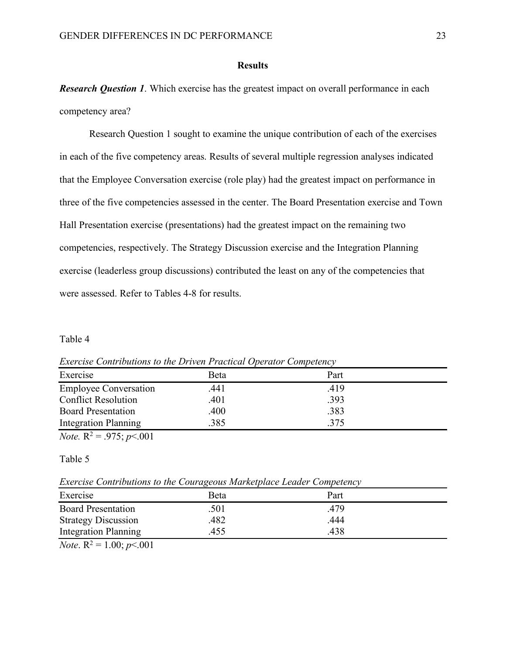#### **Results**

*Research Question 1*. Which exercise has the greatest impact on overall performance in each competency area?

Research Question 1 sought to examine the unique contribution of each of the exercises in each of the five competency areas. Results of several multiple regression analyses indicated that the Employee Conversation exercise (role play) had the greatest impact on performance in three of the five competencies assessed in the center. The Board Presentation exercise and Town Hall Presentation exercise (presentations) had the greatest impact on the remaining two competencies, respectively. The Strategy Discussion exercise and the Integration Planning exercise (leaderless group discussions) contributed the least on any of the competencies that were assessed. Refer to Tables 4-8 for results.

#### Table 4

| Exercise                     | Beta | Part |  |
|------------------------------|------|------|--|
| <b>Employee Conversation</b> | .441 | .419 |  |
| <b>Conflict Resolution</b>   | .401 | .393 |  |
| <b>Board Presentation</b>    | .400 | .383 |  |
| <b>Integration Planning</b>  | 385  | .375 |  |

*Exercise Contributions to the Driven Practical Operator Competency*

*Note.*  $R^2 = .975$ ; *p* < 001

# Table 5

*Exercise Contributions to the Courageous Marketplace Leader Competency*

|                              | $\sim$ |      |  |
|------------------------------|--------|------|--|
| Exercise                     | Beta   | Part |  |
| <b>Board Presentation</b>    | .501   | 479. |  |
| <b>Strategy Discussion</b>   | 482    | 444  |  |
| <b>Integration Planning</b>  | 455    | 438  |  |
| $-1$<br>$\sim$ $\sim$ $\sim$ |        |      |  |

*Note*.  $R^2 = 1.00$ ; *p*<.001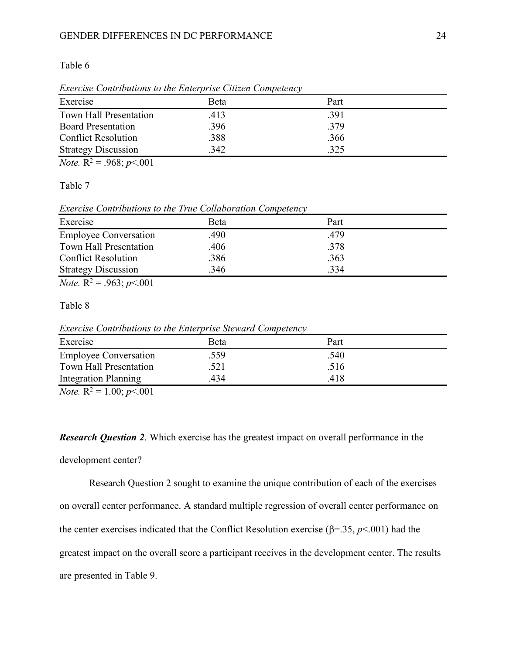#### GENDER DIFFERENCES IN DC PERFORMANCE 24

Table 6

| Beta | Part |  |
|------|------|--|
| .413 | .391 |  |
| .396 | .379 |  |
| .388 | .366 |  |
| 342  | 325  |  |
|      |      |  |

*Exercise Contributions to the Enterprise Citizen Competency*

*Note.*  $R^2 = .968$ ;  $p < .001$ 

Table 7

*Exercise Contributions to the True Collaboration Competency*

| Exercise                     | Beta | Part |  |
|------------------------------|------|------|--|
| <b>Employee Conversation</b> | .490 | .479 |  |
| Town Hall Presentation       | .406 | .378 |  |
| <b>Conflict Resolution</b>   | .386 | .363 |  |
| <b>Strategy Discussion</b>   | 346  | .334 |  |

*Note.*  $R^2 = .963$ ; *p*<.001

Table 8

*Exercise Contributions to the Enterprise Steward Competency*

| Exercise                     | Beta | Part |  |
|------------------------------|------|------|--|
| <b>Employee Conversation</b> | .559 | .540 |  |
| Town Hall Presentation       | .521 | .516 |  |
| <b>Integration Planning</b>  | 434  | 418  |  |
| $\sim$                       |      |      |  |

*Note.*  $R^2 = 1.00$ ;  $p < .001$ 

*Research Question 2*. Which exercise has the greatest impact on overall performance in the

#### development center?

Research Question 2 sought to examine the unique contribution of each of the exercises on overall center performance. A standard multiple regression of overall center performance on the center exercises indicated that the Conflict Resolution exercise ( $\beta$ =.35,  $p$ <.001) had the greatest impact on the overall score a participant receives in the development center. The results are presented in Table 9.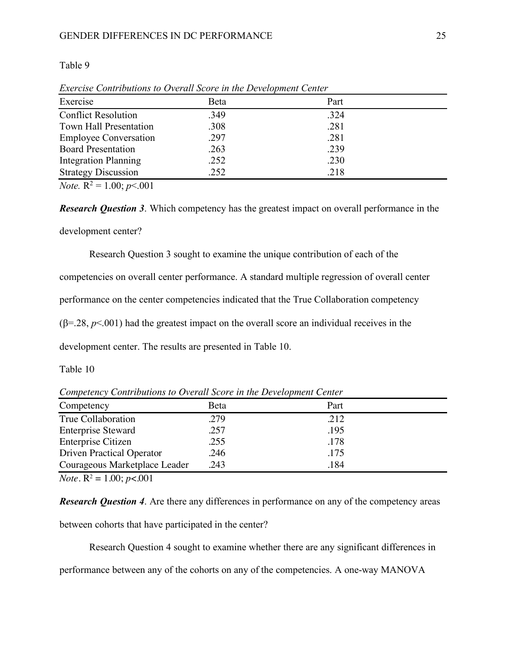#### GENDER DIFFERENCES IN DC PERFORMANCE 25

#### Table 9

| Exercise                     | Beta | Part |  |
|------------------------------|------|------|--|
| <b>Conflict Resolution</b>   | .349 | .324 |  |
| Town Hall Presentation       | .308 | .281 |  |
| <b>Employee Conversation</b> | .297 | .281 |  |
| <b>Board Presentation</b>    | .263 | .239 |  |
| <b>Integration Planning</b>  | .252 | .230 |  |
| <b>Strategy Discussion</b>   | .252 | .218 |  |

*Exercise Contributions to Overall Score in the Development Center*

*Note.*  $R^2 = 1.00$ ; *p*<.001

*Research Question 3*. Which competency has the greatest impact on overall performance in the development center?

Research Question 3 sought to examine the unique contribution of each of the

competencies on overall center performance. A standard multiple regression of overall center

performance on the center competencies indicated that the True Collaboration competency

 $(\beta = 28, p < 001)$  had the greatest impact on the overall score an individual receives in the

development center. The results are presented in Table 10.

### Table 10

*Competency Contributions to Overall Score in the Development Center*

| Competency                       | Beta | Part |
|----------------------------------|------|------|
| True Collaboration               | .279 | .212 |
| <b>Enterprise Steward</b>        | .257 | .195 |
| <b>Enterprise Citizen</b>        | .255 | .178 |
| <b>Driven Practical Operator</b> | .246 | .175 |
| Courageous Marketplace Leader    | .243 | .184 |

*Note.*  $R^2 = 1.00$ ; *p*<.001

*Research Question 4.* Are there any differences in performance on any of the competency areas

between cohorts that have participated in the center?

Research Question 4 sought to examine whether there are any significant differences in

performance between any of the cohorts on any of the competencies. A one-way MANOVA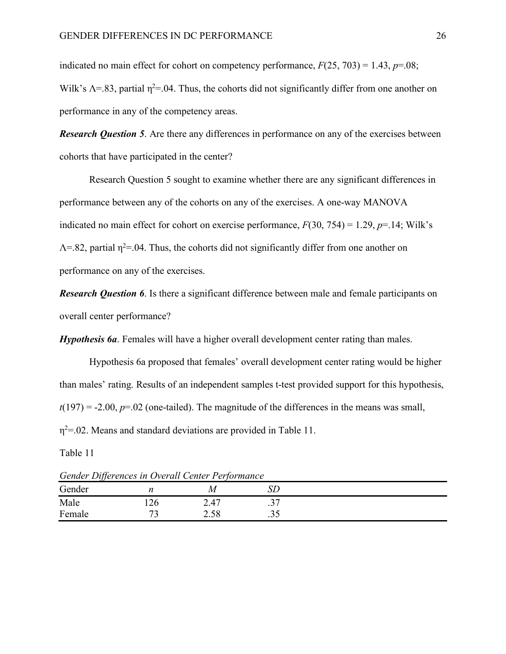indicated no main effect for cohort on competency performance,  $F(25, 703) = 1.43$ ,  $p=0.08$ ; Wilk's  $\Lambda$ =.83, partial  $\eta$ <sup>2</sup>=.04. Thus, the cohorts did not significantly differ from one another on performance in any of the competency areas.

*Research Question 5.* Are there any differences in performance on any of the exercises between cohorts that have participated in the center?

Research Question 5 sought to examine whether there are any significant differences in performance between any of the cohorts on any of the exercises. A one-way MANOVA indicated no main effect for cohort on exercise performance,  $F(30, 754) = 1.29$ ,  $p=14$ ; Wilk's  $\Lambda$ =.82, partial  $\eta$ <sup>2</sup>=.04. Thus, the cohorts did not significantly differ from one another on performance on any of the exercises.

*Research Question 6*. Is there a significant difference between male and female participants on overall center performance?

*Hypothesis 6a*. Females will have a higher overall development center rating than males.

Hypothesis 6a proposed that females' overall development center rating would be higher than males' rating. Results of an independent samples t-test provided support for this hypothesis,  $t(197) = -2.00$ ,  $p=02$  (one-tailed). The magnitude of the differences in the means was small,  $\eta^2$ =.02. Means and standard deviations are provided in Table 11.

Table 11

Gender *n M* SD Male 126 2.47 .37 Female 73 2.58 .35

*Gender Differences in Overall Center Performance*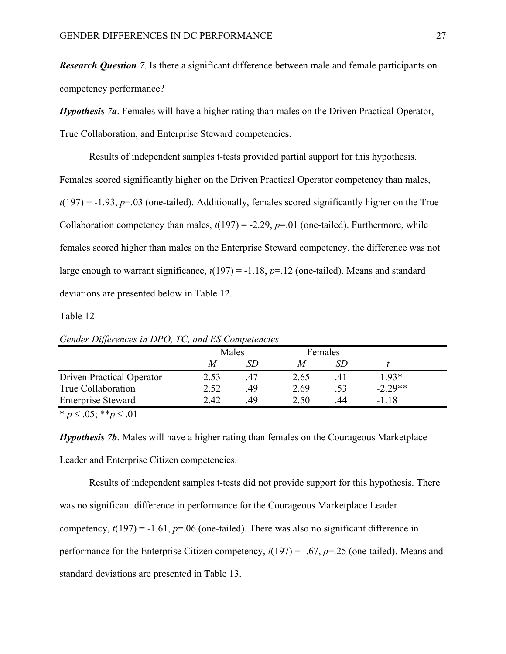*Research Question 7*. Is there a significant difference between male and female participants on competency performance?

*Hypothesis 7a*. Females will have a higher rating than males on the Driven Practical Operator, True Collaboration, and Enterprise Steward competencies.

Results of independent samples t-tests provided partial support for this hypothesis. Females scored significantly higher on the Driven Practical Operator competency than males,  $t(197) = -1.93$ ,  $p=0.03$  (one-tailed). Additionally, females scored significantly higher on the True Collaboration competency than males,  $t(197) = -2.29$ ,  $p=01$  (one-tailed). Furthermore, while females scored higher than males on the Enterprise Steward competency, the difference was not large enough to warrant significance,  $t(197) = -1.18$ ,  $p=12$  (one-tailed). Means and standard deviations are presented below in Table 12.

Table 12

| $\sigma$ octave. By for eneces the B1-0, 1-0, and B5-competencies |       |    |         |     |           |  |  |  |
|-------------------------------------------------------------------|-------|----|---------|-----|-----------|--|--|--|
|                                                                   | Males |    | Females |     |           |  |  |  |
|                                                                   | M     |    |         |     |           |  |  |  |
| Driven Practical Operator                                         | 2.53  | 47 | 2.65    | 41  | $-1.93*$  |  |  |  |
| True Collaboration                                                | 2.52  | 49 | 2.69    | .53 | $-2.29**$ |  |  |  |
| <b>Enterprise Steward</b>                                         | 2.42  | 49 | 2.50    | 44  | -1 18     |  |  |  |

*Gender Differences in DPO, TC, and ES Competencies*

 $\overline{p} \leq .05;$  \*\**p*  $\leq .01$ 

*Hypothesis 7b*. Males will have a higher rating than females on the Courageous Marketplace Leader and Enterprise Citizen competencies.

Results of independent samples t-tests did not provide support for this hypothesis. There was no significant difference in performance for the Courageous Marketplace Leader competency,  $t(197) = -1.61$ ,  $p=0.06$  (one-tailed). There was also no significant difference in performance for the Enterprise Citizen competency, *t*(197) = -.67, *p*=.25 (one-tailed). Means and standard deviations are presented in Table 13.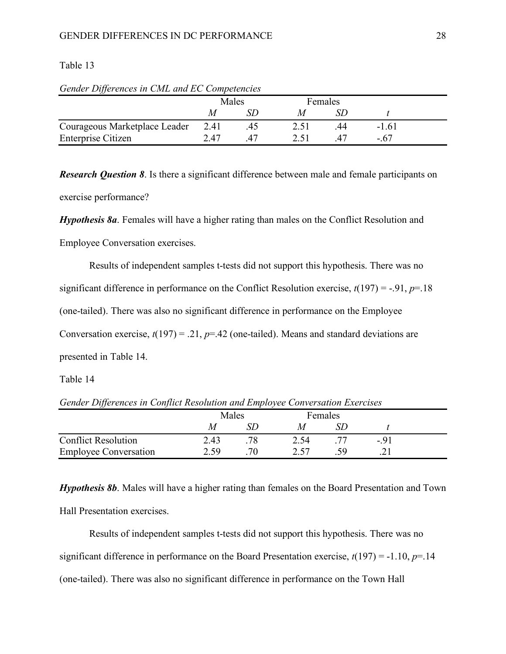# Table 13

|                               | Males |    | Females |    |         |  |
|-------------------------------|-------|----|---------|----|---------|--|
|                               |       |    |         |    |         |  |
| Courageous Marketplace Leader | 2.41  | 40 |         | 44 | $-1.61$ |  |
| Enterprise Citizen            | 2.47  |    |         |    | - 67    |  |

*Gender Differences in CML and EC Competencies*

*Research Question 8*. Is there a significant difference between male and female participants on exercise performance?

*Hypothesis 8a*. Females will have a higher rating than males on the Conflict Resolution and

Employee Conversation exercises.

Results of independent samples t-tests did not support this hypothesis. There was no significant difference in performance on the Conflict Resolution exercise,  $t(197) = -0.91$ ,  $p=0.18$ (one-tailed). There was also no significant difference in performance on the Employee Conversation exercise,  $t(197) = .21$ ,  $p = .42$  (one-tailed). Means and standard deviations are presented in Table 14.

Table 14

*Gender Differences in Conflict Resolution and Employee Conversation Exercises*

| ັບປ                          |      |       |      |         |      |  |
|------------------------------|------|-------|------|---------|------|--|
|                              |      | Males |      | Females |      |  |
|                              | M    |       |      |         |      |  |
| <b>Conflict Resolution</b>   | 2.43 |       | 2.54 |         | - 91 |  |
| <b>Employee Conversation</b> | 2.59 |       | つ 5つ |         |      |  |

*Hypothesis 8b*. Males will have a higher rating than females on the Board Presentation and Town Hall Presentation exercises.

Results of independent samples t-tests did not support this hypothesis. There was no significant difference in performance on the Board Presentation exercise, *t*(197) = -1.10, *p*=.14 (one-tailed). There was also no significant difference in performance on the Town Hall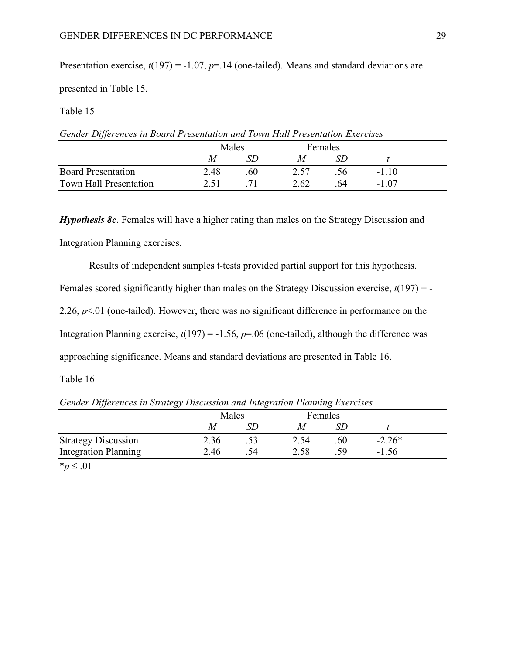Presentation exercise,  $t(197) = -1.07$ ,  $p=14$  (one-tailed). Means and standard deviations are

presented in Table 15.

Table 15

| Gender Differences in Board Presentation and Town Hall Presentation Exercises |      |              |      |                |        |  |  |
|-------------------------------------------------------------------------------|------|--------------|------|----------------|--------|--|--|
|                                                                               |      | <b>Males</b> |      | <b>Females</b> |        |  |  |
|                                                                               |      | ND.          |      |                |        |  |  |
| <b>Board Presentation</b>                                                     | 2.48 | 60           | 2.57 | <b>S6</b>      | $-110$ |  |  |

Town Hall Presentation 2.51 .71 2.62 .64 -1.07

*Hypothesis 8c.* Females will have a higher rating than males on the Strategy Discussion and Integration Planning exercises.

Results of independent samples t-tests provided partial support for this hypothesis.

Females scored significantly higher than males on the Strategy Discussion exercise, *t*(197) = -

2.26,  $p<01$  (one-tailed). However, there was no significant difference in performance on the

Integration Planning exercise,  $t(197) = -1.56$ ,  $p=0.06$  (one-tailed), although the difference was

approaching significance. Means and standard deviations are presented in Table 16.

Table 16

*Gender Differences in Strategy Discussion and Integration Planning Exercises*

| IJ                          | $\smash{\smash{\cup}}$ |       |  |         | ີ   |          |  |
|-----------------------------|------------------------|-------|--|---------|-----|----------|--|
|                             |                        | Males |  | Females |     |          |  |
|                             |                        | М     |  |         |     |          |  |
| <b>Strategy Discussion</b>  |                        | 2.36  |  | 2.54    | .60 | $-2.26*$ |  |
| <b>Integration Planning</b> |                        | 2.46  |  | 2.58    | 50  | $-1.56$  |  |
|                             |                        |       |  |         |     |          |  |

 $**p* ≤ .01$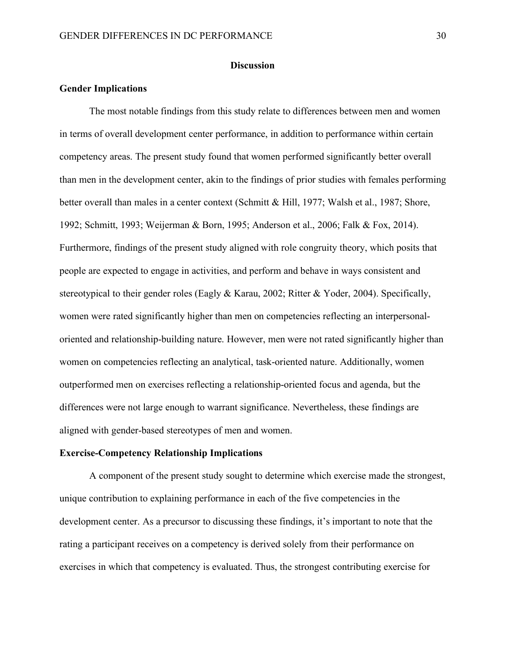#### **Discussion**

#### **Gender Implications**

The most notable findings from this study relate to differences between men and women in terms of overall development center performance, in addition to performance within certain competency areas. The present study found that women performed significantly better overall than men in the development center, akin to the findings of prior studies with females performing better overall than males in a center context (Schmitt & Hill, 1977; Walsh et al., 1987; Shore, 1992; Schmitt, 1993; Weijerman & Born, 1995; Anderson et al., 2006; Falk & Fox, 2014). Furthermore, findings of the present study aligned with role congruity theory, which posits that people are expected to engage in activities, and perform and behave in ways consistent and stereotypical to their gender roles (Eagly & Karau, 2002; Ritter & Yoder, 2004). Specifically, women were rated significantly higher than men on competencies reflecting an interpersonaloriented and relationship-building nature. However, men were not rated significantly higher than women on competencies reflecting an analytical, task-oriented nature. Additionally, women outperformed men on exercises reflecting a relationship-oriented focus and agenda, but the differences were not large enough to warrant significance. Nevertheless, these findings are aligned with gender-based stereotypes of men and women.

#### **Exercise-Competency Relationship Implications**

A component of the present study sought to determine which exercise made the strongest, unique contribution to explaining performance in each of the five competencies in the development center. As a precursor to discussing these findings, it's important to note that the rating a participant receives on a competency is derived solely from their performance on exercises in which that competency is evaluated. Thus, the strongest contributing exercise for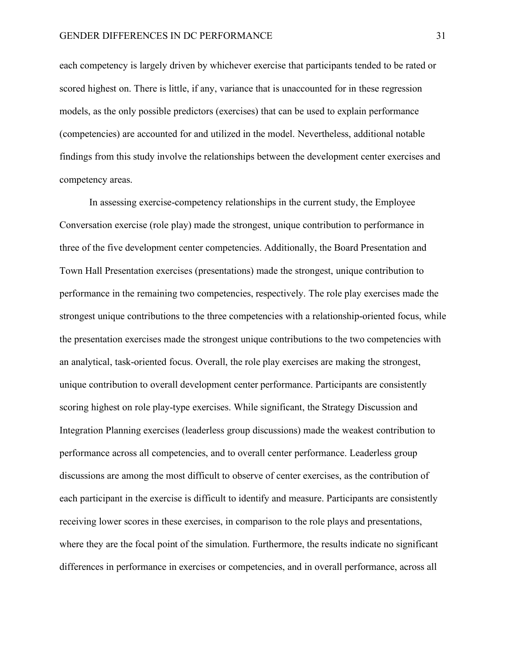each competency is largely driven by whichever exercise that participants tended to be rated or scored highest on. There is little, if any, variance that is unaccounted for in these regression models, as the only possible predictors (exercises) that can be used to explain performance (competencies) are accounted for and utilized in the model. Nevertheless, additional notable findings from this study involve the relationships between the development center exercises and competency areas.

In assessing exercise-competency relationships in the current study, the Employee Conversation exercise (role play) made the strongest, unique contribution to performance in three of the five development center competencies. Additionally, the Board Presentation and Town Hall Presentation exercises (presentations) made the strongest, unique contribution to performance in the remaining two competencies, respectively. The role play exercises made the strongest unique contributions to the three competencies with a relationship-oriented focus, while the presentation exercises made the strongest unique contributions to the two competencies with an analytical, task-oriented focus. Overall, the role play exercises are making the strongest, unique contribution to overall development center performance. Participants are consistently scoring highest on role play-type exercises. While significant, the Strategy Discussion and Integration Planning exercises (leaderless group discussions) made the weakest contribution to performance across all competencies, and to overall center performance. Leaderless group discussions are among the most difficult to observe of center exercises, as the contribution of each participant in the exercise is difficult to identify and measure. Participants are consistently receiving lower scores in these exercises, in comparison to the role plays and presentations, where they are the focal point of the simulation. Furthermore, the results indicate no significant differences in performance in exercises or competencies, and in overall performance, across all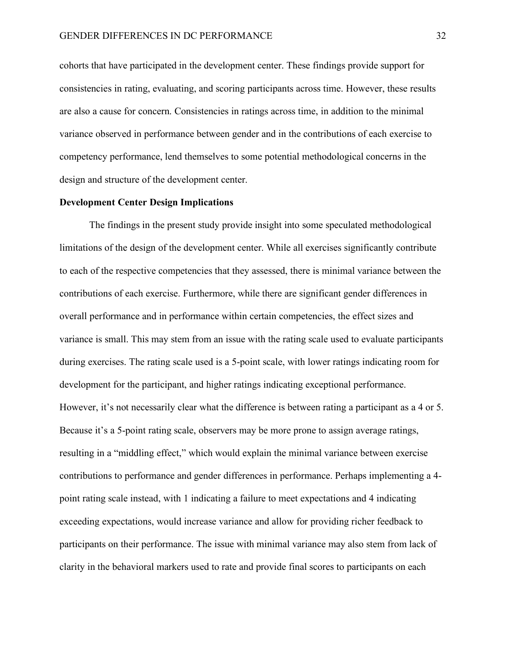cohorts that have participated in the development center. These findings provide support for consistencies in rating, evaluating, and scoring participants across time. However, these results are also a cause for concern. Consistencies in ratings across time, in addition to the minimal variance observed in performance between gender and in the contributions of each exercise to competency performance, lend themselves to some potential methodological concerns in the design and structure of the development center.

# **Development Center Design Implications**

The findings in the present study provide insight into some speculated methodological limitations of the design of the development center. While all exercises significantly contribute to each of the respective competencies that they assessed, there is minimal variance between the contributions of each exercise. Furthermore, while there are significant gender differences in overall performance and in performance within certain competencies, the effect sizes and variance is small. This may stem from an issue with the rating scale used to evaluate participants during exercises. The rating scale used is a 5-point scale, with lower ratings indicating room for development for the participant, and higher ratings indicating exceptional performance. However, it's not necessarily clear what the difference is between rating a participant as a 4 or 5. Because it's a 5-point rating scale, observers may be more prone to assign average ratings, resulting in a "middling effect," which would explain the minimal variance between exercise contributions to performance and gender differences in performance. Perhaps implementing a 4 point rating scale instead, with 1 indicating a failure to meet expectations and 4 indicating exceeding expectations, would increase variance and allow for providing richer feedback to participants on their performance. The issue with minimal variance may also stem from lack of clarity in the behavioral markers used to rate and provide final scores to participants on each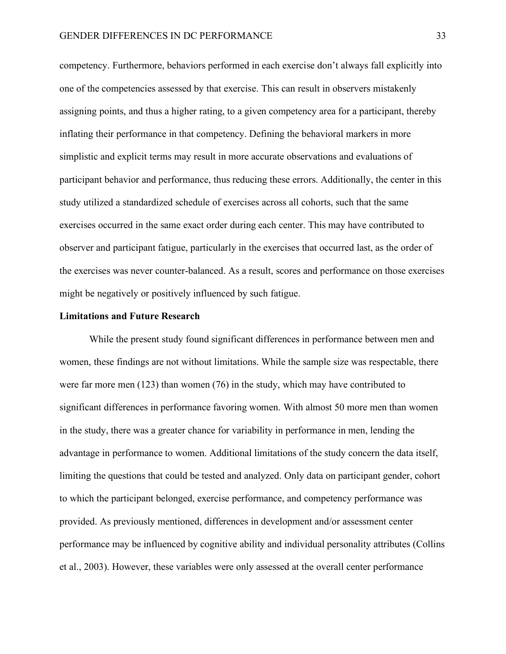competency. Furthermore, behaviors performed in each exercise don't always fall explicitly into one of the competencies assessed by that exercise. This can result in observers mistakenly assigning points, and thus a higher rating, to a given competency area for a participant, thereby inflating their performance in that competency. Defining the behavioral markers in more simplistic and explicit terms may result in more accurate observations and evaluations of participant behavior and performance, thus reducing these errors. Additionally, the center in this study utilized a standardized schedule of exercises across all cohorts, such that the same exercises occurred in the same exact order during each center. This may have contributed to observer and participant fatigue, particularly in the exercises that occurred last, as the order of the exercises was never counter-balanced. As a result, scores and performance on those exercises might be negatively or positively influenced by such fatigue.

#### **Limitations and Future Research**

While the present study found significant differences in performance between men and women, these findings are not without limitations. While the sample size was respectable, there were far more men (123) than women (76) in the study, which may have contributed to significant differences in performance favoring women. With almost 50 more men than women in the study, there was a greater chance for variability in performance in men, lending the advantage in performance to women. Additional limitations of the study concern the data itself, limiting the questions that could be tested and analyzed. Only data on participant gender, cohort to which the participant belonged, exercise performance, and competency performance was provided. As previously mentioned, differences in development and/or assessment center performance may be influenced by cognitive ability and individual personality attributes (Collins et al., 2003). However, these variables were only assessed at the overall center performance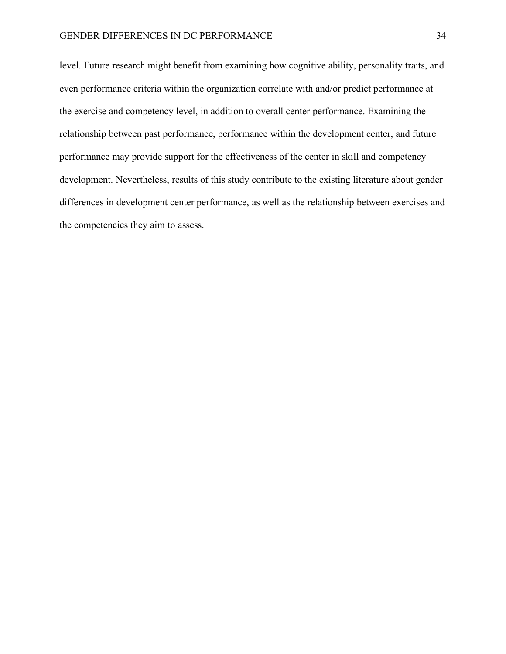level. Future research might benefit from examining how cognitive ability, personality traits, and even performance criteria within the organization correlate with and/or predict performance at the exercise and competency level, in addition to overall center performance. Examining the relationship between past performance, performance within the development center, and future performance may provide support for the effectiveness of the center in skill and competency development. Nevertheless, results of this study contribute to the existing literature about gender differences in development center performance, as well as the relationship between exercises and the competencies they aim to assess.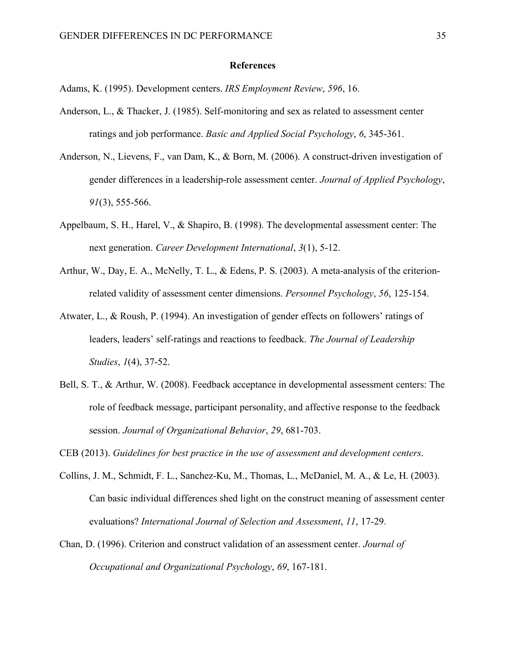#### **References**

Adams, K. (1995). Development centers. *IRS Employment Review*, *596*, 16.

- Anderson, L., & Thacker, J. (1985). Self-monitoring and sex as related to assessment center ratings and job performance. *Basic and Applied Social Psychology*, *6*, 345-361.
- Anderson, N., Lievens, F., van Dam, K., & Born, M. (2006). A construct-driven investigation of gender differences in a leadership-role assessment center. *Journal of Applied Psychology*, *91*(3), 555-566.
- Appelbaum, S. H., Harel, V., & Shapiro, B. (1998). The developmental assessment center: The next generation. *Career Development International*, *3*(1), 5-12.
- Arthur, W., Day, E. A., McNelly, T. L., & Edens, P. S. (2003). A meta-analysis of the criterionrelated validity of assessment center dimensions. *Personnel Psychology*, *56*, 125-154.
- Atwater, L., & Roush, P. (1994). An investigation of gender effects on followers' ratings of leaders, leaders' self-ratings and reactions to feedback. *The Journal of Leadership Studies*, *1*(4), 37-52.
- Bell, S. T., & Arthur, W. (2008). Feedback acceptance in developmental assessment centers: The role of feedback message, participant personality, and affective response to the feedback session. *Journal of Organizational Behavior*, *29*, 681-703.

CEB (2013). *Guidelines for best practice in the use of assessment and development centers*.

- Collins, J. M., Schmidt, F. L., Sanchez-Ku, M., Thomas, L., McDaniel, M. A., & Le, H. (2003). Can basic individual differences shed light on the construct meaning of assessment center evaluations? *International Journal of Selection and Assessment*, *11*, 17-29.
- Chan, D. (1996). Criterion and construct validation of an assessment center. *Journal of Occupational and Organizational Psychology*, *69*, 167-181.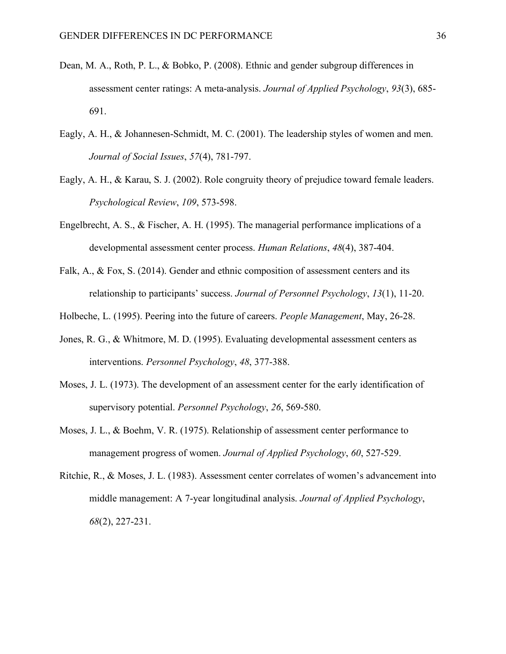- Dean, M. A., Roth, P. L., & Bobko, P. (2008). Ethnic and gender subgroup differences in assessment center ratings: A meta-analysis. *Journal of Applied Psychology*, *93*(3), 685- 691.
- Eagly, A. H., & Johannesen-Schmidt, M. C. (2001). The leadership styles of women and men. *Journal of Social Issues*, *57*(4), 781-797.
- Eagly, A. H., & Karau, S. J. (2002). Role congruity theory of prejudice toward female leaders. *Psychological Review*, *109*, 573-598.
- Engelbrecht, A. S., & Fischer, A. H. (1995). The managerial performance implications of a developmental assessment center process. *Human Relations*, *48*(4), 387-404.
- Falk, A., & Fox, S. (2014). Gender and ethnic composition of assessment centers and its relationship to participants' success. *Journal of Personnel Psychology*, *13*(1), 11-20.
- Holbeche, L. (1995). Peering into the future of careers. *People Management*, May, 26-28.
- Jones, R. G., & Whitmore, M. D. (1995). Evaluating developmental assessment centers as interventions. *Personnel Psychology*, *48*, 377-388.
- Moses, J. L. (1973). The development of an assessment center for the early identification of supervisory potential. *Personnel Psychology*, *26*, 569-580.
- Moses, J. L., & Boehm, V. R. (1975). Relationship of assessment center performance to management progress of women. *Journal of Applied Psychology*, *60*, 527-529.
- Ritchie, R., & Moses, J. L. (1983). Assessment center correlates of women's advancement into middle management: A 7-year longitudinal analysis. *Journal of Applied Psychology*, *68*(2), 227-231.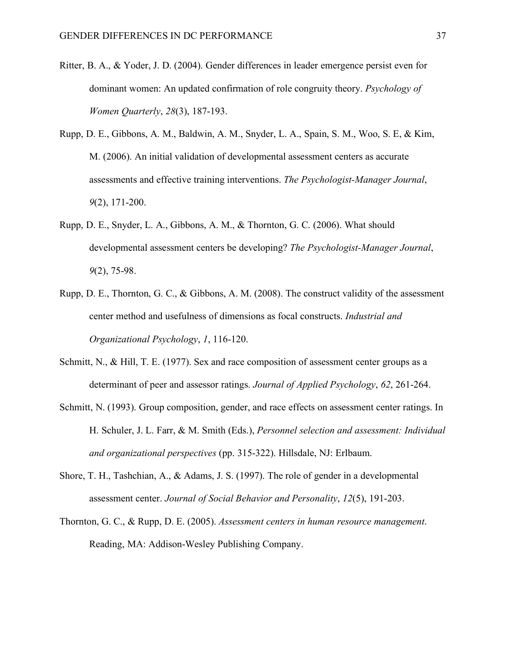- Ritter, B. A., & Yoder, J. D. (2004). Gender differences in leader emergence persist even for dominant women: An updated confirmation of role congruity theory. *Psychology of Women Quarterly*, *28*(3), 187-193.
- Rupp, D. E., Gibbons, A. M., Baldwin, A. M., Snyder, L. A., Spain, S. M., Woo, S. E, & Kim, M. (2006). An initial validation of developmental assessment centers as accurate assessments and effective training interventions. *The Psychologist-Manager Journal*, *9*(2), 171-200.
- Rupp, D. E., Snyder, L. A., Gibbons, A. M., & Thornton, G. C. (2006). What should developmental assessment centers be developing? *The Psychologist-Manager Journal*, *9*(2), 75-98.
- Rupp, D. E., Thornton, G. C., & Gibbons, A. M. (2008). The construct validity of the assessment center method and usefulness of dimensions as focal constructs. *Industrial and Organizational Psychology*, *1*, 116-120.
- Schmitt, N., & Hill, T. E. (1977). Sex and race composition of assessment center groups as a determinant of peer and assessor ratings. *Journal of Applied Psychology*, *62*, 261-264.
- Schmitt, N. (1993). Group composition, gender, and race effects on assessment center ratings. In H. Schuler, J. L. Farr, & M. Smith (Eds.), *Personnel selection and assessment: Individual and organizational perspectives* (pp. 315-322). Hillsdale, NJ: Erlbaum.
- Shore, T. H., Tashchian, A., & Adams, J. S. (1997). The role of gender in a developmental assessment center. *Journal of Social Behavior and Personality*, *12*(5), 191-203.
- Thornton, G. C., & Rupp, D. E. (2005). *Assessment centers in human resource management*. Reading, MA: Addison-Wesley Publishing Company.